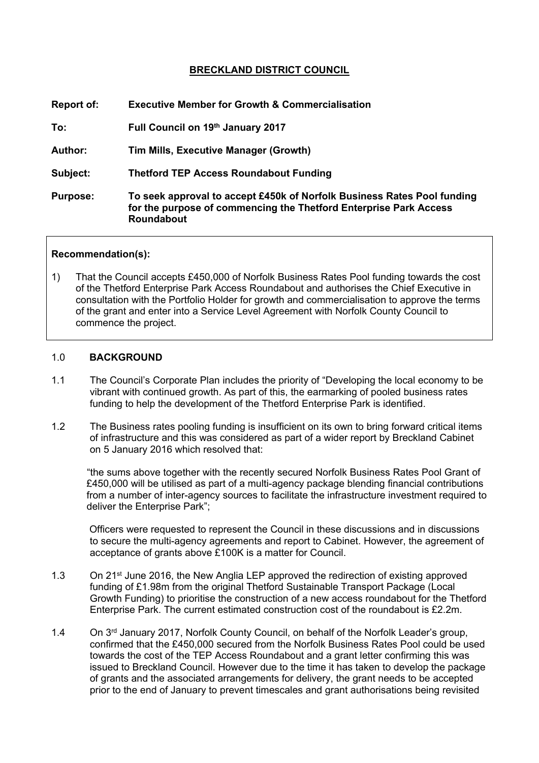# **BRECKLAND DISTRICT COUNCIL**

| <b>Report of:</b> | <b>Executive Member for Growth &amp; Commercialisation</b>                                                                                                        |
|-------------------|-------------------------------------------------------------------------------------------------------------------------------------------------------------------|
| To:               | Full Council on 19th January 2017                                                                                                                                 |
| <b>Author:</b>    | <b>Tim Mills, Executive Manager (Growth)</b>                                                                                                                      |
| Subject:          | <b>Thetford TEP Access Roundabout Funding</b>                                                                                                                     |
| <b>Purpose:</b>   | To seek approval to accept £450k of Norfolk Business Rates Pool funding<br>for the purpose of commencing the Thetford Enterprise Park Access<br><b>Roundabout</b> |
|                   |                                                                                                                                                                   |

#### **Recommendation(s):**

1) That the Council accepts £450,000 of Norfolk Business Rates Pool funding towards the cost of the Thetford Enterprise Park Access Roundabout and authorises the Chief Executive in consultation with the Portfolio Holder for growth and commercialisation to approve the terms of the grant and enter into a Service Level Agreement with Norfolk County Council to commence the project.

#### 1.0 **BACKGROUND**

- 1.1 The Council's Corporate Plan includes the priority of "Developing the local economy to be vibrant with continued growth. As part of this, the earmarking of pooled business rates funding to help the development of the Thetford Enterprise Park is identified.
- 1.2 The Business rates pooling funding is insufficient on its own to bring forward critical items of infrastructure and this was considered as part of a wider report by Breckland Cabinet on 5 January 2016 which resolved that:

"the sums above together with the recently secured Norfolk Business Rates Pool Grant of £450,000 will be utilised as part of a multi-agency package blending financial contributions from a number of inter-agency sources to facilitate the infrastructure investment required to deliver the Enterprise Park";

 Officers were requested to represent the Council in these discussions and in discussions to secure the multi-agency agreements and report to Cabinet. However, the agreement of acceptance of grants above £100K is a matter for Council.

- 1.3 On 21<sup>st</sup> June 2016, the New Anglia LEP approved the redirection of existing approved funding of £1.98m from the original Thetford Sustainable Transport Package (Local Growth Funding) to prioritise the construction of a new access roundabout for the Thetford Enterprise Park. The current estimated construction cost of the roundabout is £2.2m.
- 1.4 On 3<sup>rd</sup> January 2017, Norfolk County Council, on behalf of the Norfolk Leader's group, confirmed that the £450,000 secured from the Norfolk Business Rates Pool could be used towards the cost of the TEP Access Roundabout and a grant letter confirming this was issued to Breckland Council. However due to the time it has taken to develop the package of grants and the associated arrangements for delivery, the grant needs to be accepted prior to the end of January to prevent timescales and grant authorisations being revisited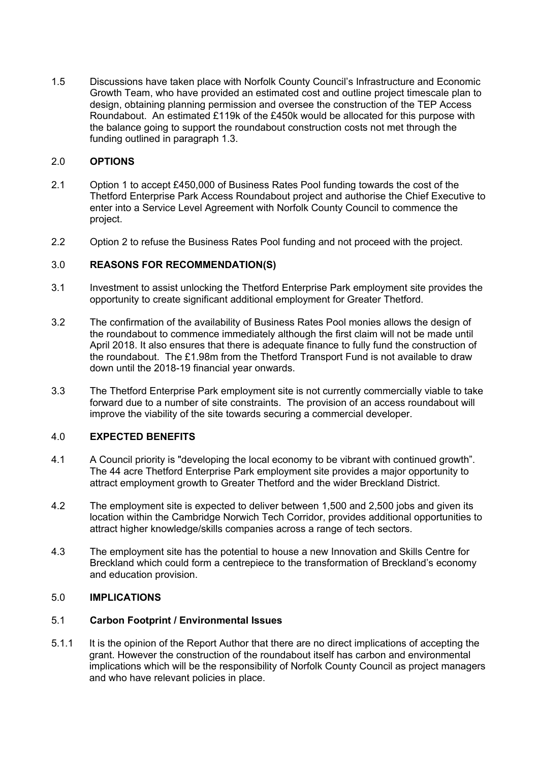1.5 Discussions have taken place with Norfolk County Council's Infrastructure and Economic Growth Team, who have provided an estimated cost and outline project timescale plan to design, obtaining planning permission and oversee the construction of the TEP Access Roundabout. An estimated £119k of the £450k would be allocated for this purpose with the balance going to support the roundabout construction costs not met through the funding outlined in paragraph 1.3.

## 2.0 **OPTIONS**

- 2.1 Option 1 to accept £450,000 of Business Rates Pool funding towards the cost of the Thetford Enterprise Park Access Roundabout project and authorise the Chief Executive to enter into a Service Level Agreement with Norfolk County Council to commence the project.
- 2.2 Option 2 to refuse the Business Rates Pool funding and not proceed with the project.

## 3.0 **REASONS FOR RECOMMENDATION(S)**

- 3.1 Investment to assist unlocking the Thetford Enterprise Park employment site provides the opportunity to create significant additional employment for Greater Thetford.
- 3.2 The confirmation of the availability of Business Rates Pool monies allows the design of the roundabout to commence immediately although the first claim will not be made until April 2018. It also ensures that there is adequate finance to fully fund the construction of the roundabout. The £1.98m from the Thetford Transport Fund is not available to draw down until the 2018-19 financial year onwards.
- 3.3 The Thetford Enterprise Park employment site is not currently commercially viable to take forward due to a number of site constraints. The provision of an access roundabout will improve the viability of the site towards securing a commercial developer.

## 4.0 **EXPECTED BENEFITS**

- 4.1 A Council priority is "developing the local economy to be vibrant with continued growth". The 44 acre Thetford Enterprise Park employment site provides a major opportunity to attract employment growth to Greater Thetford and the wider Breckland District.
- 4.2 The employment site is expected to deliver between 1,500 and 2,500 jobs and given its location within the Cambridge Norwich Tech Corridor, provides additional opportunities to attract higher knowledge/skills companies across a range of tech sectors.
- 4.3 The employment site has the potential to house a new Innovation and Skills Centre for Breckland which could form a centrepiece to the transformation of Breckland's economy and education provision.

## 5.0 **IMPLICATIONS**

## 5.1 **Carbon Footprint / Environmental Issues**

5.1.1 It is the opinion of the Report Author that there are no direct implications of accepting the grant. However the construction of the roundabout itself has carbon and environmental implications which will be the responsibility of Norfolk County Council as project managers and who have relevant policies in place.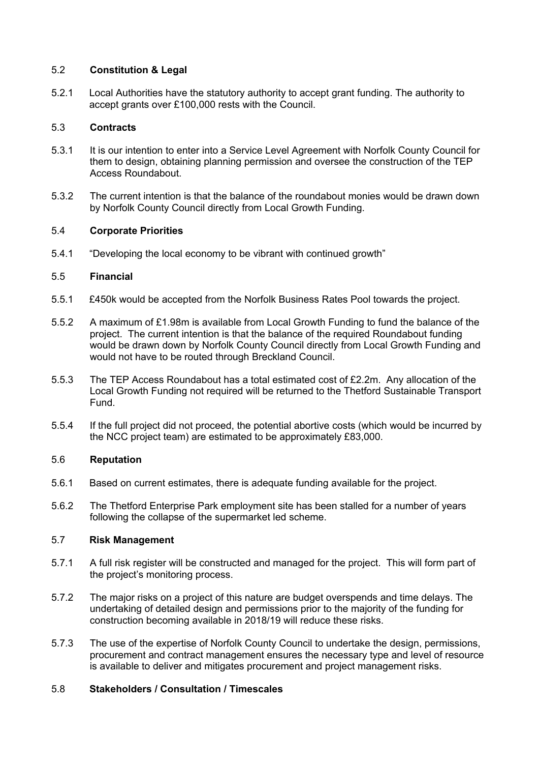## 5.2 **Constitution & Legal**

5.2.1 Local Authorities have the statutory authority to accept grant funding. The authority to accept grants over £100,000 rests with the Council.

## 5.3 **Contracts**

- 5.3.1 It is our intention to enter into a Service Level Agreement with Norfolk County Council for them to design, obtaining planning permission and oversee the construction of the TEP Access Roundabout.
- 5.3.2 The current intention is that the balance of the roundabout monies would be drawn down by Norfolk County Council directly from Local Growth Funding.

## 5.4 **Corporate Priorities**

5.4.1 "Developing the local economy to be vibrant with continued growth"

# 5.5 **Financial**

- 5.5.1 £450k would be accepted from the Norfolk Business Rates Pool towards the project.
- 5.5.2 A maximum of £1.98m is available from Local Growth Funding to fund the balance of the project. The current intention is that the balance of the required Roundabout funding would be drawn down by Norfolk County Council directly from Local Growth Funding and would not have to be routed through Breckland Council.
- 5.5.3 The TEP Access Roundabout has a total estimated cost of £2.2m. Any allocation of the Local Growth Funding not required will be returned to the Thetford Sustainable Transport Fund.
- 5.5.4 If the full project did not proceed, the potential abortive costs (which would be incurred by the NCC project team) are estimated to be approximately £83,000.

## 5.6 **Reputation**

- 5.6.1 Based on current estimates, there is adequate funding available for the project.
- 5.6.2 The Thetford Enterprise Park employment site has been stalled for a number of years following the collapse of the supermarket led scheme.

# 5.7 **Risk Management**

- 5.7.1 A full risk register will be constructed and managed for the project. This will form part of the project's monitoring process.
- 5.7.2 The major risks on a project of this nature are budget overspends and time delays. The undertaking of detailed design and permissions prior to the majority of the funding for construction becoming available in 2018/19 will reduce these risks.
- 5.7.3 The use of the expertise of Norfolk County Council to undertake the design, permissions, procurement and contract management ensures the necessary type and level of resource is available to deliver and mitigates procurement and project management risks.

# 5.8 **Stakeholders / Consultation / Timescales**